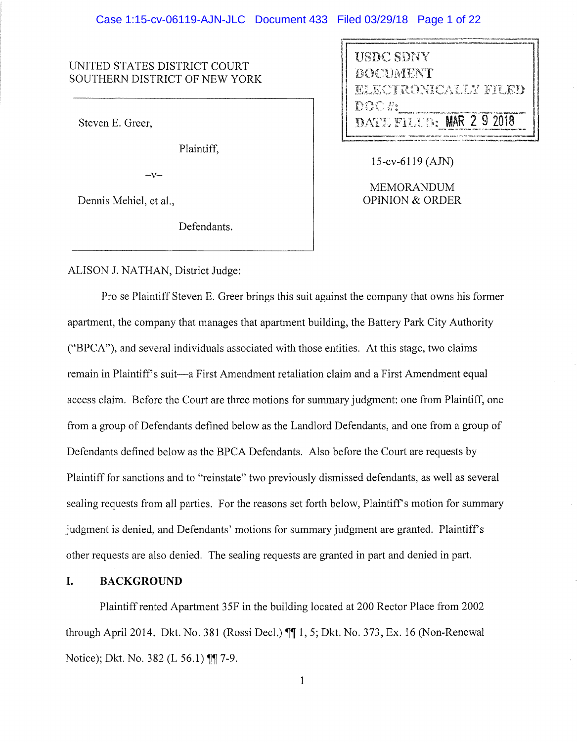### UNITED STATES DISTRICT COURT SOUTHERN DISTRICT OF NEW YORK

Steven E. Greer,

Plaintiff,

 $-V-$ 

Dennis Mehiel, et al.,

Defendants.

USDC SDNY **DOCUMENT** TERONICALIZ FILED DOC 5: **TET FILED: MAR 2** 

15-cv-6119 (AJN)

MEMORANDUM OPINION & ORDER

## ALISON J. NATHAN, District Judge:

Pro se Plaintiff Steven E. Greer brings this suit against the company that owns his former apartment, the company that manages that apartment building, the Battery Park City Authority ("BPCA"), and several individuals associated with those entities. At this stage, two claims remain in Plaintiff's suit-a First Amendment retaliation claim and a First Amendment equal access claim. Before the Court are three motions for summary judgment: one from Plaintiff, one from a group of Defendants defined below as the Landlord Defendants, and one from a group of Defendants defined below as the BPCA Defendants. Also before the Court are requests by Plaintiff for sanctions and to "reinstate" two previously dismissed defendants, as well as several sealing requests from all parties. For the reasons set forth below, Plaintiff's motion for summary judgment is denied, and Defendants' motions for summary judgment are granted. Plaintiff's other requests are also denied. The sealing requests are granted in part and denied in part.

### **I. BACKGROUND**

Plaintiff rented Apartment 35F in the building located at 200 Rector Place from 2002 through April 2014. Dkt. No. 381 (Rossi Deel.) **iii! 1,** 5; Dkt. No. 373, Ex. 16 (Non-Renewal Notice); Dkt. No. 382 (L 56.1) **¶ 1**-9.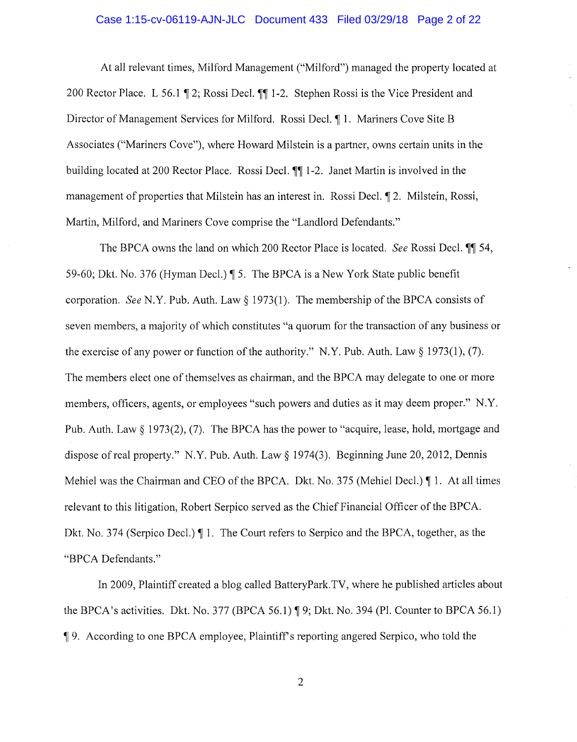# Case 1:15-cv-06119-AJN-JLC Document 433 Filed 03/29/18 Page 2 of 22

At all relevant times, Milford Management ("Milford") managed the property located at 200 Rector Place. L 56.1 ¶ 2; Rossi Decl. ¶¶ 1-2. Stephen Rossi is the Vice President and Director of Management Services for Milford. Rossi Decl. 1. Mariners Cove Site B Associates ("Mariners Cove"), where Howard Milstein is a partner, owns certain units in the building located at 200 Rector Place. Rossi Decl.  $\P\P$  1-2. Janet Martin is involved in the management of properties that Milstein has an interest in. Rossi Decl.  $\parallel$  2. Milstein, Rossi, Martin, Milford, and Mariners Cove comprise the "Landlord Defendants."

The BPCA owns the land on which 200 Rector Place is located. *See* Rossi Decl.  $\blacksquare$  54, 59-60; Dkt. No. 376 (Hyman Decl.) ¶ 5. The BPCA is a New York State public benefit corporation. *See* N.Y. Pub. Auth. Law§ 1973(1). The membership of the BPCA consists of seven members, a majority of which constitutes "a quorum for the transaction of any business or the exercise of any power or function of the authority." N.Y. Pub. Auth. Law  $\S 1973(1)$ , (7). The members elect one of themselves as chairman, and the BPCA may delegate to one or more members, officers, agents, or employees "such powers and duties as it may deem proper." N.Y. Pub. Auth. Law § 1973(2), (7). The BPCA has the power to "acquire, lease, hold, mortgage and dispose of real property." N.Y. Pub. Auth. Law § 1974(3). Beginning June 20, 2012, Dennis Mehiel was the Chairman and CEO of the BPCA. Dkt. No. 375 (Mehiel Decl.)  $\P$  1. At all times relevant to this litigation, Robert Serpico served as the Chief Financial Officer of the BPCA. Dkt. No. 374 (Serpico Decl.)  $\P$  1. The Court refers to Serpico and the BPCA, together, as the "BPCA Defendants."

In 2009, Plaintiff created a blog called BatteryPark.TV, where he published articles about the BPCA's activities. Dkt. No. 377 (BPCA 56.1)  $\sqrt{9}$ ; Dkt. No. 394 (Pl. Counter to BPCA 56.1) <sup>~</sup>9. According to one BPCA employee, Plaintiffs reporting angered Serpico, who told the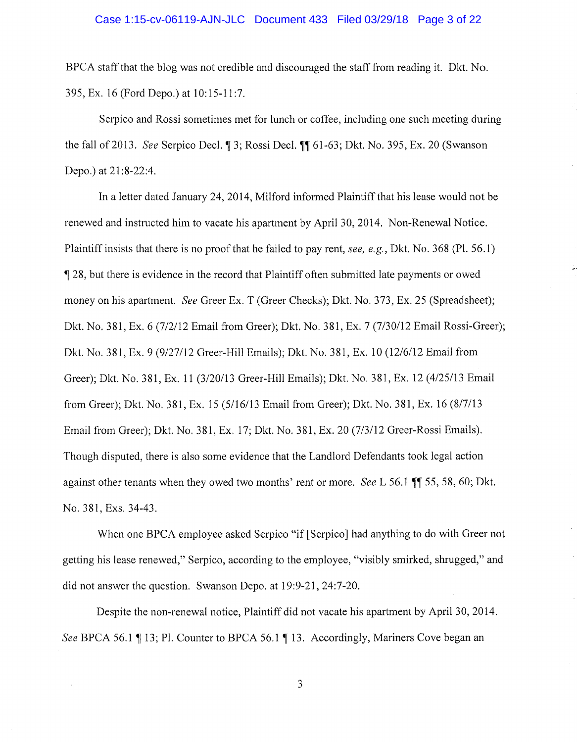### Case 1:15-cv-06119-AJN-JLC Document 433 Filed 03/29/18 Page 3 of 22

BPCA staff that the blog was not credible and discouraged the staff from reading it. Dkt. No. 395,Ex.16(FordDepo.)at 10:15-11:7.

Serpico and Rossi sometimes met for lunch or coffee, including one such meeting during the fall of 2013. *See Serpico Decl.* [3; Rossi Decl. [1] 61-63; Dkt. No. 395, Ex. 20 (Swanson Depo.) at 21:8-22:4.

In a letter dated January 24, 2014, Milford informed Plaintiff that his lease would not be renewed and instructed him to vacate his apartment by April 30, 2014. Non-Renewal Notice. Plaintiff insists that there is no proof that he failed to pay rent, *see, e.g.,* Dkt. No. 368 (Pl. 56. l) <sup>~</sup>28, but there is evidence in the record that Plaintiff often submitted late payments or owed money on his apartment. *See* Greer Ex. T (Greer Checks); Dkt. No. 373, Ex. 25 (Spreadsheet); Dkt. No. 381, Ex. 6 (7/2/12 Email from Greer); Dkt. No. 381, Ex. 7 (7/30/12 Email Rossi-Greer); Dkt. No. 381, Ex. 9 (9/27/12 Greer-Hill Emails); Dkt. No. 381, Ex. 10 (12/6/12 Email from Greer); Dkt. No. 381, Ex. 11 (3/20/13 Greer-Hill Emails); Dkt. No. 381, Ex. 12 (4/25/13 Email from Greer); Dkt. No. 381, Ex. 15 (5/16/13 Email from Greer); Dkt. No. 381, Ex. 16 (8/7/13 Email from Greer); Dkt. No. 381, Ex. 17; Dkt. No. 381, Ex. 20 (7/3/12 Greer-Rossi Emails). Though disputed, there is also some evidence that the Landlord Defendants took legal action against other tenants when they owed two months' rent or more. *See L* 56.1 ¶ 55, 58, 60; Dkt. No. 381, Exs. 34-43.

When one BPCA employee asked Serpico "if [Serpico] had anything to do with Greer not getting his lease renewed," Serpico, according to the employee, "visibly smirked, shrugged," and did not answer the question. Swanson Depo. at 19:9-21, 24:7-20.

Despite the non-renewal notice, Plaintiff did not vacate his apartment by April 30, 2014. *See* BPCA 56.1 ¶ 13; Pl. Counter to BPCA 56.1 ¶ 13. Accordingly, Mariners Cove began an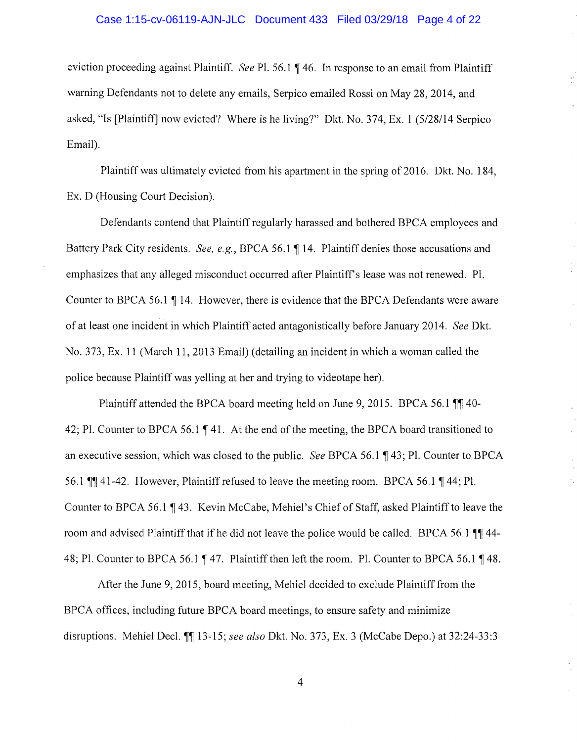### Case 1:15-cv-06119-AJN-JLC Document 433 Filed 03/29/18 Page 4 of 22

eviction proceeding against Plaintiff. *See* Pl. 56.1 ¶ 46. In response to an email from Plaintiff warning Defendants not to delete any emails, Serpico emailed Rossi on May 28, 2014, and asked, "Is [Plaintiff] now evicted? Where is he living?" Dkt. No. 374, Ex. 1 (5/28/14 Serpico Email).

Plaintiff was ultimately evicted from his apartment in the spring of 2016. Dkt. No. 184, Ex. D (Housing Court Decision).

Defendants contend that Plaintiff regularly harassed and bothered BPCA employees and Battery Park City residents. *See, e.g.*, BPCA 56.1 ¶ 14. Plaintiff denies those accusations and emphasizes that any alleged misconduct occurred after Plaintiff's lease was not renewed. Pl. Counter to BPCA 56.1  $\P$  14. However, there is evidence that the BPCA Defendants were aware of at least one incident in which Plaintiff acted antagonistically before January 2014. *See* Dkt. No. 373, Ex. 11 (March 11, 2013 Email) (detailing an incident in which a woman called the police because Plaintiff was yelling at her and trying to videotape her).

Plaintiff attended the BPCA board meeting held on June 9, 2015. BPCA 56.1  $\P$  40-42; Pl. Counter to BPCA 56.1  $\P$  41. At the end of the meeting, the BPCA board transitioned to an executive session, which was closed to the public. *See* BPCA 56.l ~ 43; Pl. Counter to BPCA 56.1  $\P$  41-42. However, Plaintiff refused to leave the meeting room. BPCA 56.1  $\P$  44; Pl. Counter to BPCA 56.1 ¶43. Kevin McCabe, Mehiel's Chief of Staff, asked Plaintiff to leave the room and advised Plaintiff that if he did not leave the police would be called. BPCA 56.1  $\mathbb{I}$  44-48; Pl. Counter to BPCA 56.1 ¶ 47. Plaintiff then left the room. Pl. Counter to BPCA 56.1 ¶ 48.

After the June 9, 2015, board meeting, Mehiel decided to exclude Plaintiff from the BPCA offices, including future BPCA board meetings, to ensure safety and minimize disruptions. Mehiel Deel.~~ 13-15; *see also* Dkt. No. 373, Ex. 3 (McCabe Depo.) at 32:24-33:3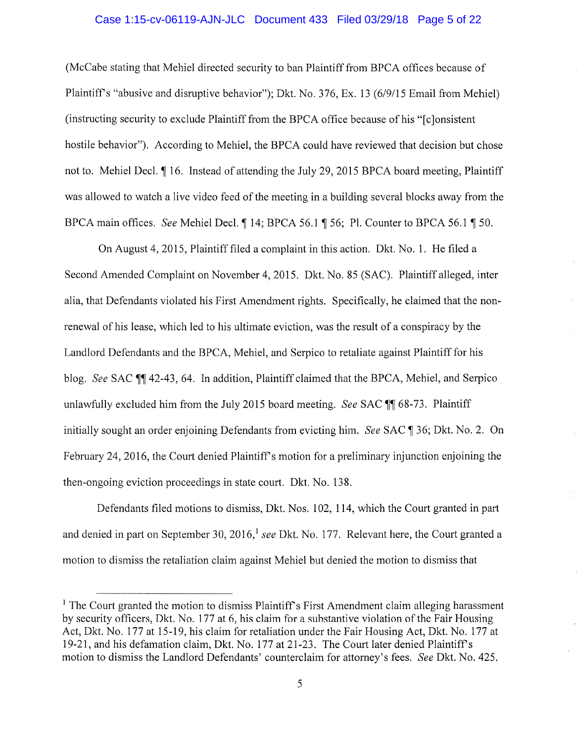#### Case 1:15-cv-06119-AJN-JLC Document 433 Filed 03/29/18 Page 5 of 22

(McCabe stating that Mehiel directed security to ban Plaintiff from BPCA offices because of Plaintiffs "abusive and disruptive behavior"); Dkt. No. 376, Ex. 13 (6/9/15 Email from Mehiel) (instructing security to exclude Plaintiff from the BPCA office because of his "[clonsistent] hostile behavior"). According to Mehiel, the BPCA could have reviewed that decision but chose not to. Mehiel Decl. 1 16. Instead of attending the July 29, 2015 BPCA board meeting, Plaintiff was allowed to watch a live video feed of the meeting in a building several blocks away from the BPCA main offices. *See* Mehiel Decl. 14; BPCA 56.1 156; Pl. Counter to BPCA 56.1 150.

On August 4, 2015, Plaintiff filed a complaint in this action. Dkt. No. 1. He filed a Second Amended Complaint on November 4, 2015. Dkt. No. 85 (SAC). Plaintiff alleged, inter alia, that Defendants violated his First Amendment rights. Specifically, he claimed that the nonrenewal of his lease, which led to his ultimate eviction, was the result of a conspiracy by the Landlord Defendants and the BPCA, Mehiel, and Serpico to retaliate against Plaintiff for his blog. *See* SAC **11** 42-43, 64. In addition, Plaintiff claimed that the BPCA, Mehiel, and Serpico unlawfully excluded him from the July 2015 board meeting. *See SAC* **11** 68-73. Plaintiff initially sought an order enjoining Defendants from evicting him. *See* SAC ¶ 36; Dkt. No. 2. On February 24, 2016, the Court denied Plaintiff's motion for a preliminary injunction enjoining the then-ongoing eviction proceedings in state court. Dkt. No. 138.

Defendants filed motions to dismiss, Dkt. Nos. 102, 114, which the Court granted in part and denied in part on September 30, 2016, <sup>1</sup> see Dkt. No. 177. Relevant here, the Court granted a motion to dismiss the retaliation claim against Mehiel but denied the motion to dismiss that

 $<sup>1</sup>$  The Court granted the motion to dismiss Plaintiff's First Amendment claim alleging harassment</sup> by security officers, Dkt. No. 177 at 6, his claim for a suhstantive violation of the Fair Housing Act, Dkt. No. 177 at 15-19, his claim for retaliation under the Fair Housing Act, Dkt. No. 177 at 19-21, and his defamation claim, Dkt. No. 177 at 21-23. The Court later denied Plaintiffs motion to dismiss the Landlord Defendants' counterclaim for attorney's fees. *See* Dkt. No. 425.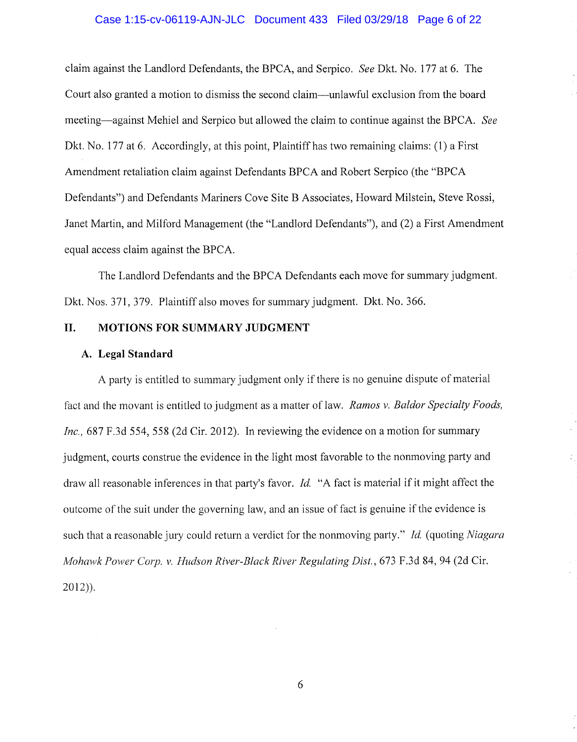## Case 1:15-cv-06119-AJN-JLC Document 433 Filed 03/29/18 Page 6 of 22

claim against the Landlord Defendants, the BPCA, and Serpico. *See* Dkt. No. 177 at 6. The Court also granted a motion to dismiss the second claim-unlawful exclusion from the board meeting-against Mehiel and Serpico but allowed the claim to continue against the BPCA. *See*  Dkt. No. 177 at 6. Accordingly, at this point, Plaintiff has two remaining claims: (1) a First Amendment retaliation claim against Defendants BPCA and Robert Serpico (the "BPCA Defendants") and Defendants Mariners Cove Site B Associates, Howard Milstein, Steve Rossi, Janet Martin, and Milford Management (the "Landlord Defendants"), and (2) a First Amendment equal access claim against the BPCA.

The Landlord Defendants and the BPCA Defendants each move for summary judgment. Dkt. Nos. 371, 379. Plaintiff also moves for summary judgment. Dkt. No. 366.

## **II. MOTIONS FOR SUMMARY JUDGMENT**

### **A. Legal Standard**

A party is entitled to summary judgment only if there is no genuine dispute of material fact and the movant is entitled to judgment as a matter of law. *Ramos v. Baldor Specialty Foods, Inc.,* 687 F.3d 554, 558 (2d Cir. 2012). In reviewing the evidence on a motion for summary judgment, courts construe the evidence in the light most favorable to the nonmoving party and draw all reasonable inferences in that party's favor. *Id.* "A fact is material if it might affect the outcome of the suit under the governing law, and an issue of fact is genuine if the evidence is such that a reasonable jury could return a verdict for the nomnoving party." *Id.* (quoting *Niagara Mohawk Pcrwer Corp. v. Hudson River-Black River Regulating Dist.,* 673 F.3d 84, 94 (2d Cir. 2012)).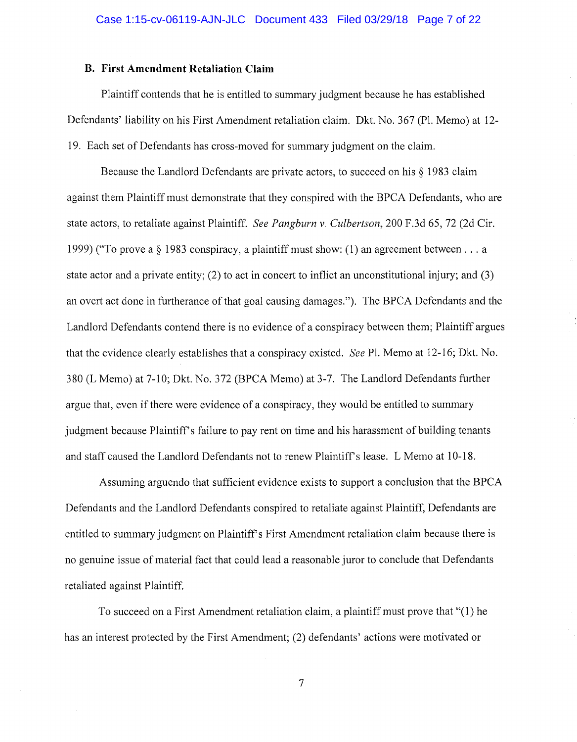### **B. First Amendment Retaliation Claim**

Plaintiff contends that he is entitled to summary judgment because he has established Defendants' liability on his First Amendment retaliation claim. Dkt. No. 367 (Pl. Memo) at 12- 19. Each set of Defendants has cross-moved for summary judgment on the claim.

Because the Landlord Defendants are private actors, to succeed on his § 1983 claim against them Plaintiff must demonstrate that they conspired with the BPCA Defendants, who are state actors, to retaliate against Plaintiff. *See Pangburn v. Culbertson,* 200 F.3d 65, 72 (2d Cir. 1999) ("To prove a § 1983 conspiracy, a plaintiff must show: (1) an agreement between ... a state actor and a private entity; (2) to act in concert to inflict an unconstitutional injury; and (3) an overt act done in furtherance of that goal causing damages."). The BPCA Defendants and the Landlord Defendants contend there is no evidence of a conspiracy between them; Plaintiff argues that the evidence clearly establishes that a conspiracy existed. *See* Pl. Memo at 12-16; Dkt. No. 380 (L Memo) at 7-10; Dkt. No. 372 (BPCA Memo) at 3-7. The Landlord Defendants further argue that, even if there were evidence of a conspiracy, they would be entitled to summary judgment because Plaintiff's failure to pay rent on time and his harassment of building tenants and staff caused the Landlord Defendants not to renew Plaintiff's lease. L Memo at 10-18.

Assuming arguendo that sufficient evidence exists to support a conclusion that the BPCA Defendants and the Landlord Defendants conspired to retaliate against Plaintiff, Defendants are entitled to summary judgment on Plaintiff's First Amendment retaliation claim because there is no genuine issue of material fact that could lead a reasonable juror to conclude that Defendants retaliated against Plaintiff.

To succeed on a First Amendment retaliation claim, a plaintiff must prove that "(1) he has an interest protected by the First Amendment; (2) defendants' actions were motivated or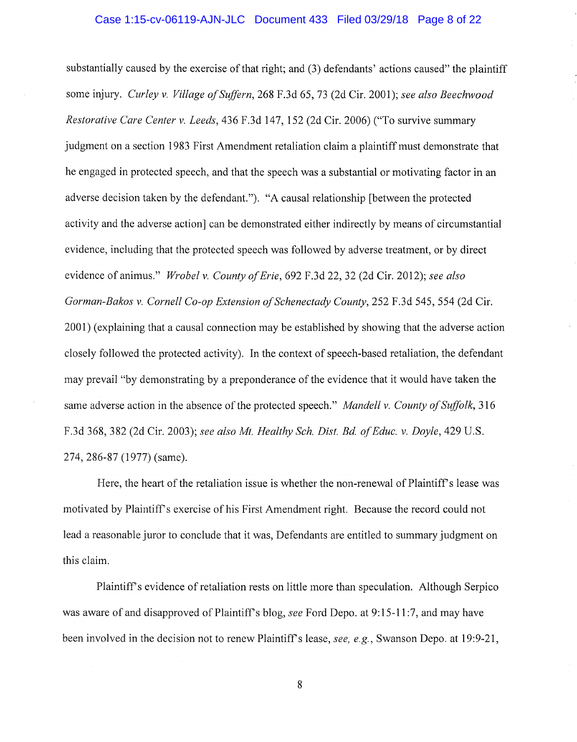### Case 1:15-cv-06119-AJN-JLC Document 433 Filed 03/29/18 Page 8 of 22

substantially caused by the exercise of that right; and (3) defendants' actions caused" the plaintiff some injury. *Curley v. Village of Suffern,* 268 F.3d 65, 73 (2d Cir. 2001); *see also Beechwood Restorative Care Center v. Leeds,* 436 F.3d 147, 152 (2d Cir. 2006) ("To survive summary judgment on a section 1983 First Amendment retaliation claim a plaintiff must demonstrate that he engaged in protected speech, and that the speech was a substantial or motivating factor in an adverse decision taken by the defendant."). "A causal relationship [between the protected activity and the adverse action] can be demonstrated either indirectly by means of circumstantial evidence, including that the protected speech was followed by adverse treatment, or by direct evidence of animus." *Wrobel v. County of Erie,* 692 F.3d 22, 32 (2d Cir. 2012); *see also Gorman-Bakos v. Cornell Co-op Extension of Schenectady County,* 252 F.3d 545, 554 (2d Cir. 2001) (explaining that a causal connection may be established by showing that the adverse action closely followed the protected activity). In the context of speech-based retaliation, the defendant may prevail "by demonstrating by a preponderance of the evidence that it would have taken the same adverse action in the absence of the protected speech." *Mandell v. County of Suffolk,* 316 F.3d 368, 382 (2d Cir. 2003); *see also Mt. Healthy Sch. Dist. Bd. of Educ. v. Doyle,* 429 U.S. 274, 286-87 (1977) (same).

Here, the heart of the retaliation issue is whether the non-renewal of Plaintiff's lease was motivated by Plaintiffs exercise of his First Amendment right. Because the record could not lead a reasonable juror to conclude that it was, Defendants are entitled to summary judgment on this claim.

Plaintiff's evidence of retaliation rests on little more than speculation. Although Serpico was aware of and disapproved of Plaintiff's blog, *see* Ford Depo. at 9:15-11:7, and may have been involved in the decision not to renew Plaintiffs lease, *see, e.g.,* Swanson Depo. at 19:9-21,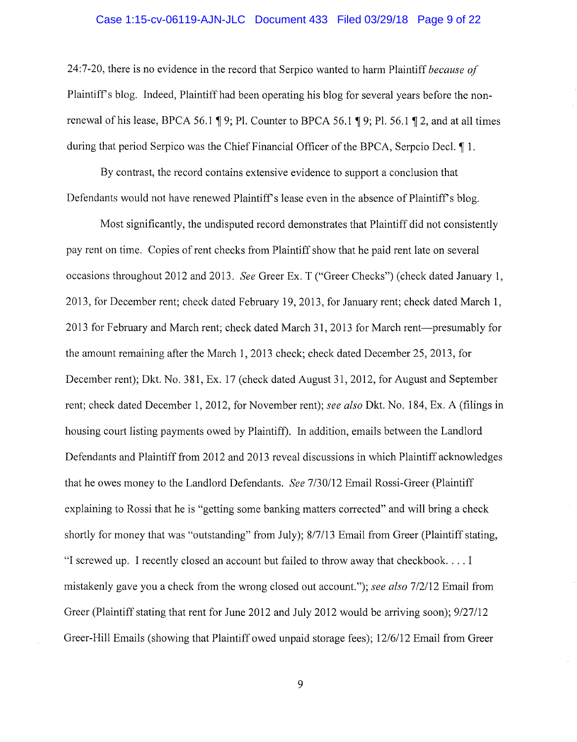#### Case 1:15-cv-06119-AJN-JLC Document 433 Filed 03/29/18 Page 9 of 22

24:7-20, there is no evidence in the record that Serpico wanted to harm Plaintiff *because of*  Plaintiff's blog. Indeed, Plaintiff had been operating his blog for several years before the nonrenewal of his lease, BPCA 56.1  $\parallel$  9; Pl. Counter to BPCA 56.1  $\parallel$  9; Pl. 56.1  $\parallel$  2, and at all times during that period Serpico was the Chief Financial Officer of the BPCA, Serpcio Decl.  $\llbracket 1$ .

By contrast, the record contains extensive evidence to support a conclusion that Defendants would not have renewed Plaintiff's lease even in the absence of Plaintiff's blog.

Most significantly, the undisputed record demonstrates that Plaintiff did not consistently pay rent on time. Copies of rent checks from Plaintiff show that he paid rent late on several occasions throughout 2012 and 2013. *See* Greer Ex. T ("Greer Checks") (check dated January 1, 2013, for December rent; check dated February 19, 2013, for January rent; check dated March 1, 2013 for February and March rent; check dated March 31, 2013 for March rent---presumably for the amount remaining after the March 1, 2013 check; check dated December 25, 2013, for December rent); Dkt. No. 381, Ex. 17 (check dated August 31, 2012, for August and September rent; check dated December 1, 2012, for November rent); *see also* Dkt. No. 184, Ex. A (filings in housing court listing payments owed by Plaintiff). In addition, emails between the Landlord Defendants and Plaintiff from 2012 and 2013 reveal discussions in which Plaintiff acknowledges that he owes money to the Landlord Defendants. *See 7130112* Email Rossi-Greer (Plaintiff explaining to Rossi that he is "getting some banking matters corrected" and will bring a check shortly for money that was "outstanding" from July); 8/7/13 Email from Greer (Plaintiff stating, "I screwed up. I recently closed an account but failed to throw away that checkbook .... I mistakenly gave you a check from the wrong closed out account."); *see also 712112* Email from Greer (Plaintiff stating that rent for June 2012 and July 2012 would be arriving soon); 9/27/12 Greer-Hill Emails (showing that Plaintiff owed unpaid storage fees); 12/6/12 Email from Greer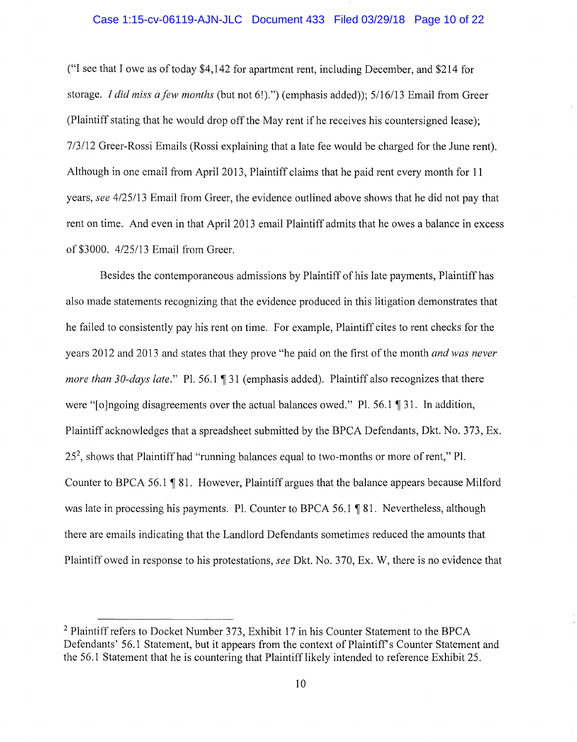#### Case 1:15-cv-06119-AJN-JLC Document 433 Filed 03/29/18 Page 10 of 22

("I see that I owe as of today \$4,142 for apartment rent, including December, and \$214 for storage. *I did miss a few months* (but not 6!).") (emphasis added)); 5/16/13 Email from Greer (Plaintiff stating that he would drop off the May rent if he receives his countersigned lease); 7 /3/12 Greer-Rossi Emails (Rossi explaining that a late fee would be charged for the June rent). Although in one email from April 2013, Plaintiff claims that he paid rent every month for 11 years, *see 4125113* Email from Greer, the evidence outlined above shows that he did not pay that rent on time. And even in that April 2013 email Plaintiff admits that he owes a balance in excess of \$3000. 4/25/13 Email from Greer.

Besides the contemporaneous admissions by Plaintiff of his late payments, Plaintiff has also made statements recognizing that the evidence produced in this litigation demonstrates that he failed to consistently pay his rent on time. For example, Plaintiff cites to rent checks for the years 2012 and 2013 and states that they prove "he paid on the first of the month *and was never more than 30-days late.*" Pl. 56.1 ¶ 31 (emphasis added). Plaintiff also recognizes that there were " $\lceil \text{ol} \rceil$  olingoing disagreements over the actual balances owed." Pl. 56.1  $\lceil \cdot 31 \rceil$ . In addition, Plaintiff acknowledges that a spreadsheet submitted by the BPCA Defendants, Dkt. No. 373, Ex. 25<sup>2</sup>, shows that Plaintiff had "running balances equal to two-months or more of rent," Pl. Counter to BPCA 56.1 ¶ 81. However, Plaintiff argues that the balance appears because Milford was late in processing his payments. Pl. Counter to BPCA 56.1 ¶ 81. Nevertheless, although there are emails indicating that the Landlord Defendants sometimes reduced the amounts that Plaintiff owed in response to his protestations, *see* Dkt. No. 370, Ex. W, there is no evidence that

<sup>&</sup>lt;sup>2</sup> Plaintiff refers to Docket Number 373, Exhibit 17 in his Counter Statement to the BPCA Defendants' 56.1 Statement, but it appears from the context of Plaintiff's Counter Statement and the 56.1 Statement that he is countering that Plaintiff likely intended to reference Exhibit 25.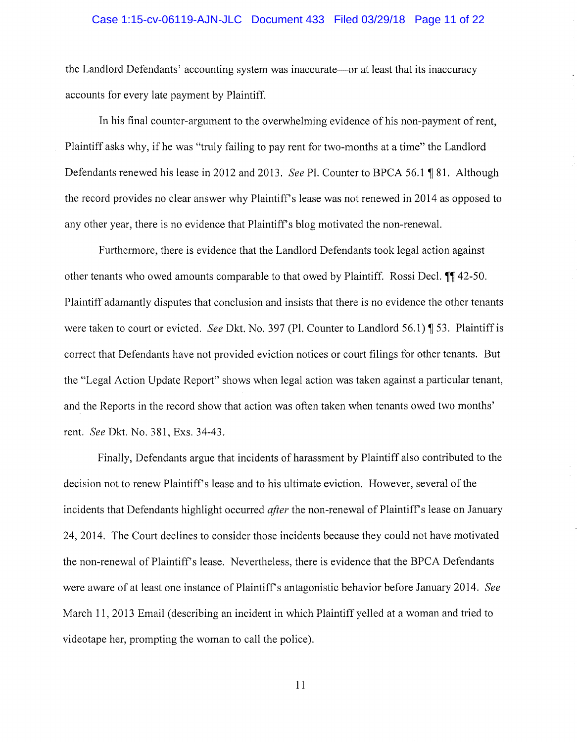### Case 1:15-cv-06119-AJN-JLC Document 433 Filed 03/29/18 Page 11 of 22

the Landlord Defendants' accounting system was inaccurate-or at least that its inaccuracy accounts for every late payment by Plaintiff.

In his final counter-argument to the overwhelming evidence of his non-payment of rent, Plaintiff asks why, if he was "truly failing to pay rent for two-months at a time" the Landlord Defendants renewed his lease in 2012 and 2013. *See* Pl. Counter to BPCA 56.1 ¶ 81. Although the record provides no clear answer why Plaintiff's lease was not renewed in 2014 as opposed to any other year, there is no evidence that Plaintiff's blog motivated the non-renewal.

Furthermore, there is evidence that the Landlord Defendants took legal action against other tenants who owed amounts comparable to that owed by Plaintiff. Rossi Decl.  $\P$  42-50. Plaintiff adamantly disputes that conclusion and insists that there is no evidence the other tenants were taken to court or evicted. *See* Dkt. No. 397 (Pl. Counter to Landlord 56.1) ¶ 53. Plaintiff is correct that Defendants have not provided eviction notices or court filings for other tenants. But the "Legal Action Update Report" shows when legal action was taken against a particular tenant, and the Reports in the record show that action was often taken when tenants owed two months' rent. *See* Dkt. No. 381, Exs. 34-43.

Finally, Defendants argue that incidents of harassment by Plaintiff also contributed to the decision not to renew Plaintiff's lease and to his ultimate eviction. However, several of the incidents that Defendants highlight occurred *after* the non-renewal of Plaintiff's lease on January 24, 2014. The Court declines to consider those incidents because they could not have motivated the non-renewal of Plaintiff's lease. Nevertheless, there is evidence that the BPCA Defendants were aware of at least one instance of Plaintiffs antagonistic behavior before January 2014. *See*  March 11, 2013 Email (describing an incident in which Plaintiff yelled at a woman and tried to videotape her, prompting the woman to call the police).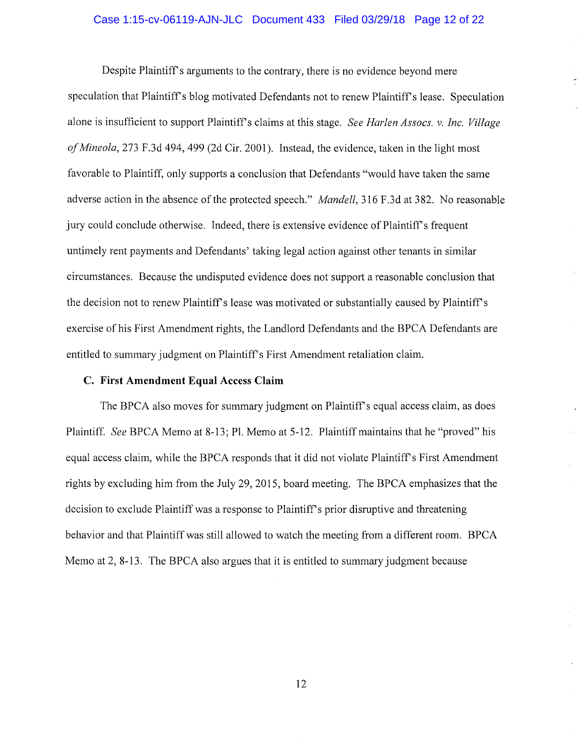### Case 1:15-cv-06119-AJN-JLC Document 433 Filed 03/29/18 Page 12 of 22

Despite Plaintiff's arguments to the contrary, there is no evidence beyond mere speculation that Plaintiff's blog motivated Defendants not to renew Plaintiff's lease. Speculation alone is insufficient to support Plaintiffs claims at this stage. *See Harlen Assocs. v. Inc. Village of Mineola,* 273 F .3d 494, 499 (2d Cir. 2001 ). Instead, the evidence, taken in the light most favorable to Plaintiff, only supports a conclusion that Defendants "would have taken the same adverse action in the absence of the protected speech." *Mandell,* 316 F.3d at 382. No reasonable jury could conclude otherwise. Indeed, there is extensive evidence of Plaintiff's frequent untimely rent payments and Defendants' taking legal action against other tenants in similar circumstances. Because the undisputed evidence does not support a reasonable conclusion that the decision not to renew Plaintiff's lease was motivated or substantially caused by Plaintiff's exercise of his First Amendment rights, the Landlord Defendants and the BPCA Defendants are entitled to summary judgment on Plaintiff's First Amendment retaliation claim.

### **C. First Amendment Equal Access Claim**

The BPCA also moves for summary judgment on Plaintiff's equal access claim, as does Plaintiff. *See* BPCA Memo at 8-13; Pl. Memo at 5-12. Plaintiff maintains that he "proved" his equal access claim, while the BPCA responds that it did not violate Plaintiff's First Amendment rights by excluding him from the July 29, 2015, board meeting. The BPCA emphasizes that the decision to exclude Plaintiff was a response to Plaintiff's prior disruptive and threatening behavior and that Plaintiff was still allowed to watch the meeting from a different room. BPCA Memo at 2, 8-13. The BPCA also argues that it is entitled to summary judgment because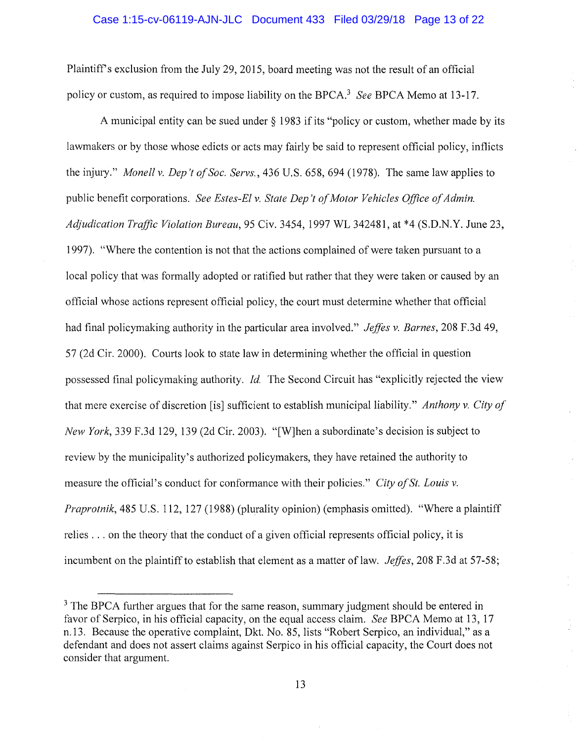#### Case 1:15-cv-06119-AJN-JLC Document 433 Filed 03/29/18 Page 13 of 22

Plaintiff's exclusion from the July 29, 2015, board meeting was not the result of an official policy or custom, as required to impose liability on the BPCA.<sup>3</sup>*See* BPCA Memo at 13-17.

A municipal entity can be sued under  $\S$  1983 if its "policy or custom, whether made by its lawmakers or by those whose edicts or acts may fairly be said to represent official policy, inflicts the injury." *Monell v. Dep 't of Soc. Servs.,* 436 U.S. 658, 694 (1978). The same law applies to public benefit corporations. *See Estes-El v. State Dep* 't *of Motor Vehicles Office of Admin. Aqjudication Traffic Violation Bureau,* 95 Civ. 3454, 1997 WL 342481, at \*4 (S.D.N.Y. June 23, 1997). "Where the contention is not that the actions complained of were taken pursuant to a local policy that was formally adopted or ratified but rather that they were taken or caused by an official whose actions represent official policy, the court must determine whether that official had final policymaking authority in the particular area involved." *Jeffes v. Barnes*, 208 F.3d 49, 57 (2d Cir. 2000). Courts look to state law in determining whether the official in question possessed final policymaking authority. *Id.* The Second Circuit has "explicitly rejected the view that mere exercise of discretion [is] sufficient to establish municipal liability." *Anthony v. City of New York,* 339 F.3d 129, 139 (2d Cir. 2003). "[W]hen a subordinate's decision is subject to review by the municipality's authorized policymakers, they have retained the authority to measure the official's conduct for conformance with their policies." *City of St. Louis v. Praprotnik,* 485 U.S. 112, 127 (1988) (plurality opinion) (emphasis omitted). "Where a plaintiff relies ... on the theory that the conduct of a given official represents official policy, it is incumbent on the plaintiff to establish that element as a matter of law. *Jeffes*, 208 F.3d at 57-58;

<sup>&</sup>lt;sup>3</sup> The BPCA further argues that for the same reason, summary judgment should be entered in favor of Serpico, in his official capacity, on the equal access claim. *See* BPCA Memo at 13, 17 n.13. Because the operative complaint, Dkt. No. 85, lists "Robert Serpico, an individual," as a defendant and does not assert claims against Serpico in his official capacity, the Court does not consider that argument.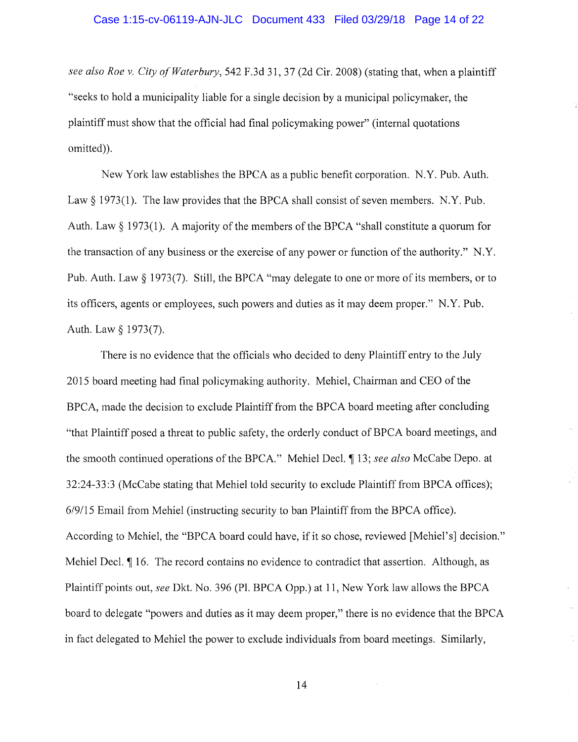*see also Roe v. City of Waterbury,* 542 F.3d 31, 37 (2d Cir. 2008) (stating that, when a plaintiff "seeks to hold a municipality liable for a single decision by a municipal policymaker, the plaintiff must show that the official had final policymaking power" (internal quotations omitted)).

New York law establishes the BPCA as a public benefit corporation. N.Y. Pub. Auth. Law  $\S$  1973(1). The law provides that the BPCA shall consist of seven members. N.Y. Pub. Auth. Law§ 1973(1). A majority of the members of the BPCA "shall constitute a quorum for the transaction of any business or the exercise of any power or function of the authority." N.Y. Pub. Auth. Law § 1973(7). Still, the BPCA "may delegate to one or more of its members, or to its officers, agents or employees, such powers and duties as it may deem proper." N.Y. Pub. Auth. Law § 1973(7).

There is no evidence that the officials who decided to deny Plaintiff entry to the July 2015 board meeting had final policymaking authority. Mehiel, Chairman and CEO of the BPCA, made the decision to exclude Plaintiff from the BPCA board meeting after concluding "that Plaintiff posed a threat to public safety, the orderly conduct of BPCA board meetings, and the smooth continued operations of the BPCA." Mehiel Deel. ~ 13; *see also* McCabe Depo. at 32:24-33:3 (McCabe stating that Mehiel told security to exclude Plaintiff from BPCA offices); *619115* Email from Mehiel (instructing security to ban Plaintiff from the BPCA office). According to Mehiel, the "BPCA board could have, if it so chose, reviewed [Mehiel's] decision." Mehiel Decl.  $\P$  16. The record contains no evidence to contradict that assertion. Although, as Plaintiff points out, *see* Dkt. No. 396 (Pl. BPCA Opp.) at 11, New York law allows the BPCA board to delegate "powers and duties as it may deem proper," there is no evidence that the BPCA in fact delegated to Mehiel the power to exclude individuals from board meetings. Similarly,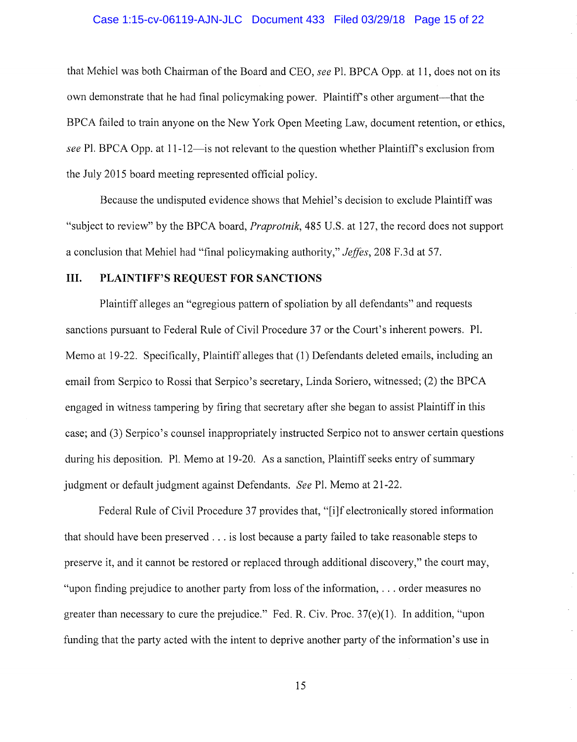#### Case 1:15-cv-06119-AJN-JLC Document 433 Filed 03/29/18 Page 15 of 22

that Mehiel was both Chairman of the Board and CEO, *see* Pl. BPCA Opp. at 11, does not on its own demonstrate that he had final policymaking power. Plaintiff's other argument—that the BPCA failed to train anyone on the New York Open Meeting Law, document retention, or ethics, *see* Pl. BPCA Opp. at 11-12—is not relevant to the question whether Plaintiff's exclusion from the July 2015 board meeting represented official policy.

Because the undisputed evidence shows that Mehiel's decision to exclude Plaintiff was "subject to review" by the BPCA board, *Praprotnik,* 485 U.S. at 127, the record does not support a conclusion that Mehiel had "final policymaking authority," *Jeffes,* 208 F.3d at 57.

## **III. PLAINTIFF'S REQUEST FOR SANCTIONS**

Plaintiff alleges an "egregious pattern of spoliation by all defendants" and requests sanctions pursuant to Federal Rule of Civil Procedure 37 or the Court's inherent powers. Pl. Memo at 19-22. Specifically, Plaintiff alleges that (1) Defendants deleted emails, including an email from Serpico to Rossi that Serpico's secretary, Linda Soriero, witnessed; (2) the BPCA engaged in witness tampering by firing that secretary after she began to assist Plaintiff in this case; and (3) Serpico's counsel inappropriately instructed Serpico not to answer certain questions during his deposition. Pl. Memo at 19-20. As a sanction, Plaintiff seeks entry of summary judgment or default judgment against Defendants. *See* Pl. Memo at 21-22.

Federal Rule of Civil Procedure 37 provides that, "[i]f electronically stored information that should have been preserved ... is lost because a party failed to take reasonable steps to preserve it, and it cannot be restored or replaced through additional discovery," the court may, "upon finding prejudice to another party from loss of the information, ... order measures no greater than necessary to cure the prejudice." Fed. R. Civ. Proc. 37(e)(l). In addition, "upon funding that the party acted with the intent to deprive another party of the information's use in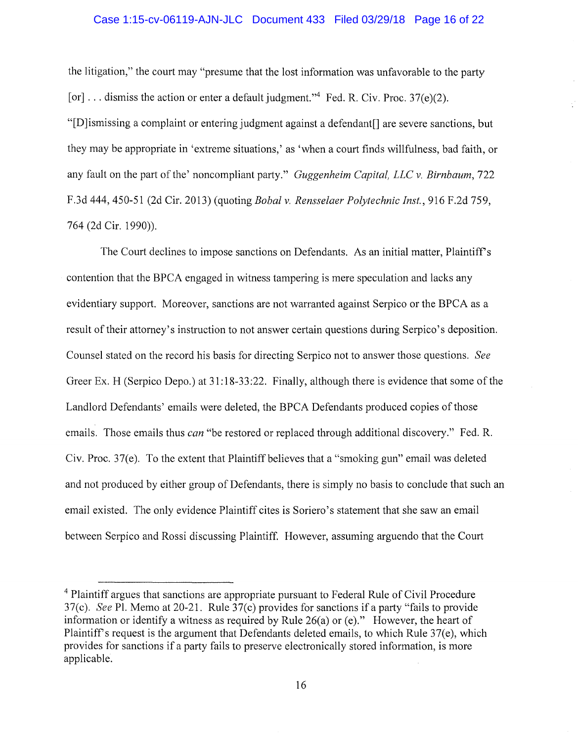### Case 1:15-cv-06119-AJN-JLC Document 433 Filed 03/29/18 Page 16 of 22

the litigation," the court may "presume that the lost information was unfavorable to the party [or]  $\dots$  dismiss the action or enter a default judgment."<sup>4</sup> Fed. R. Civ. Proc. 37(e)(2).

"[D]ismissing a complaint or entering judgment against a defendant[] are severe sanctions, but they may be appropriate in 'extreme situations,' as 'when a court finds willfulness, bad faith, or any fault on the part of the' noncompliant party." *Guggenheim Capital, LLC v. Birnbaum,* 722 F.3d 444, 450-51 (2d Cir. 2013) (quoting *Bobal v. Rensselaer Polytechnic Inst.,* 916 F.2d 759, 764 (2d Cir. 1990)).

The Court declines to impose sanctions on Defendants. As an initial matter, Plaintiff's contention that the BPCA engaged in witness tampering is mere speculation and lacks any evidentiary support. Moreover, sanctions are not warranted against Serpico or the BPCA as a result of their attorney's instruction to not answer certain questions during Serpico's deposition. Counsel stated on the record his basis for directing Serpico not to answer those questions. *See*  Greer Ex. H (Serpico Depo.) at  $31:18-33:22$ . Finally, although there is evidence that some of the Landlord Defendants' emails were deleted, the BPCA Defendants produced copies of those emails. Those emails thus *can* "be restored or replaced through additional discovery." Fed. R. Civ. Proc. 37(e). To the extent that Plaintiff believes that a "smoking gun" email was deleted and not produced by either group of Defendants, there is simply no basis to conclude that such an email existed. The only evidence Plaintiff cites is Soriero's statement that she saw an email between Serpico and Rossi discussing Plaintiff. However, assuming arguendo that the Court

<sup>&</sup>lt;sup>4</sup> Plaintiff argues that sanctions are appropriate pursuant to Federal Rule of Civil Procedure 37(c). *See* Pl. Memo at 20-21. Rule 37(c) provides for sanctions if a party "fails to provide information or identify a witness as required by Rule 26(a) or (e)." However, the heart of Plaintiff's request is the argument that Defendants deleted emails, to which Rule 37(e), which provides for sanctions if a party fails to preserve electronically stored information, is more applicable.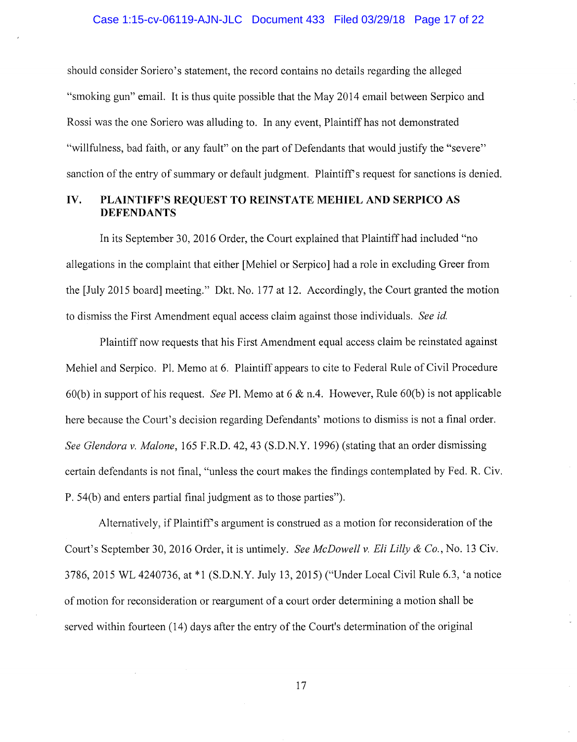should consider Soriero's statement, the record contains no details regarding the alleged "smoking gun" email. It is thus quite possible that the May 2014 email between Serpico and Rossi was the one Soriero was alluding to. In any event, Plaintiff has not demonstrated "willfulness, bad faith, or any fault" on the part of Defendants that would justify the "severe" sanction of the entry of summary or default judgment. Plaintiff's request for sanctions is denied.

## **IV. PLAINTIFF'S REQUEST TO REINSTATE MEHIEL AND SERPICO AS DEFENDANTS**

In its September 30, 2016 Order, the Court explained that Plaintiff had included "no allegations in the complaint that either [Mehiel or Serpico] had a role in excluding Greer from the [July 2015 board] meeting." Dkt. No. 177 at 12. Accordingly, the Court granted the motion to dismiss the First Amendment equal access claim against those individuals. *See id.* 

Plaintiff now requests that his First Amendment equal access claim be reinstated against Mehiel and Serpico. Pl. Memo at 6. Plaintiff appears to cite to Federal Rule of Civil Procedure 60(b) in support of his request. *See* Pl. Memo at 6 & n.4. However, Rule 60(b) is not applicable here because the Court's decision regarding Defendants' motions to dismiss is not a final order. *See Glendora v. Malone,* 165 F.R.D. 42, 43 (S.D.N.Y. 1996) (stating that an order dismissing certain defendants is not final, "unless the court makes the findings contemplated by Fed. R. Civ. P. 54(b) and enters partial final judgment as to those parties").

Alternatively, if Plaintiff's argument is construed as a motion for reconsideration of the Court's September 30, 2016 Order, it is untimely. *See McDowell v. Eli Lilly* & *Co.,* No. 13 Civ. 3786, 2015 WL 4240736, at \*1 (S.D.N.Y. July 13, 2015) ("Under Local Civil Rule 6.3, 'a notice of motion for reconsideration or reargument of a court order determining a motion shall be served within fourteen (14) days after the entry of the Court's determination of the original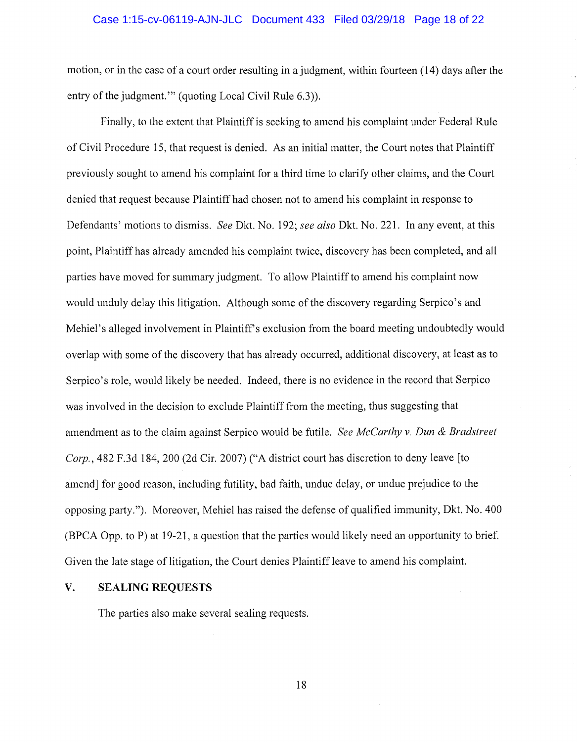#### Case 1:15-cv-06119-AJN-JLC Document 433 Filed 03/29/18 Page 18 of 22

motion, or in the case of a court order resulting in a judgment, within fourteen (14) days after the entry of the judgment.'" (quoting Local Civil Rule 6.3)).

Finally, to the extent that Plaintiff is seeking to amend his complaint under Federal Rule of Civil Procedure 15, that request is denied. As an initial matter, the Court notes that Plaintiff previously sought to amend his complaint for a third time to clarify other claims, and the Court denied that request because Plaintiff had chosen not to amend his complaint in response to Defendants' motions to dismiss. *See* Dkt. No. 192; *see also* Dkt. No. 221. In any event, at this point, Plaintiff has already amended his complaint twice, discovery has been completed, and all parties have moved for summary judgment. To allow Plaintiff to amend his complaint now would unduly delay this litigation. Although some of the discovery regarding Serpico's and Mehiel's alleged involvement in Plaintiff's exclusion from the board meeting undoubtedly would overlap with some of the discovery that has already occurred, additional discovery, at least as to Serpico's role, would likely be needed. Indeed, there is no evidence in the record that Serpico was involved in the decision to exclude Plaintiff from the meeting, thus suggesting that amendment as to the claim against Serpico would be futile. *See McCarthy v. Dun* & *Bradstreet Corp.,* 482 F.3d 184, 200 (2d Cir. 2007) ("A district court has discretion to deny leave [to amend] for good reason, including futility, bad faith, undue delay, or undue prejudice to the opposing party."). Moreover, Mehiel has raised the defense of qualified immunity, Dkt. No. 400 (BPCA Opp. to P) at 19-21, a question that the parties would likely need an opportunity to brief. Given the late stage of litigation, the Court denies Plaintiff leave to amend his complaint.

### **V. SEALING REQUESTS**

The parties also make several sealing requests.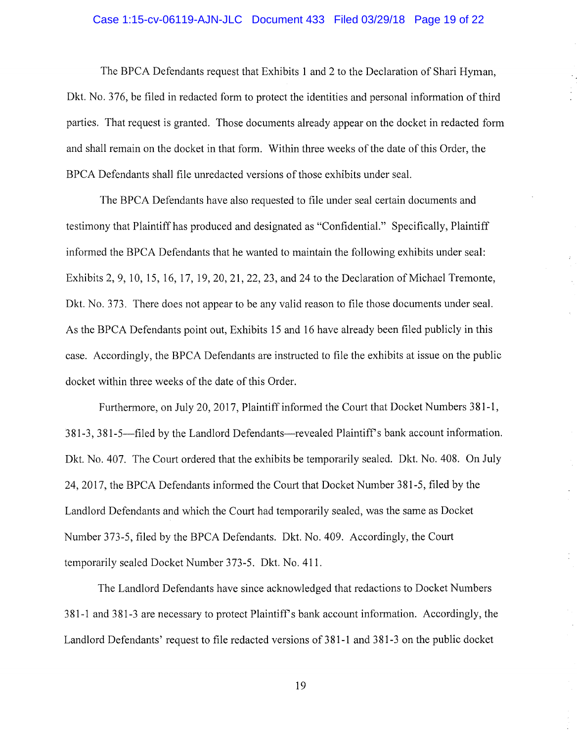#### Case 1:15-cv-06119-AJN-JLC Document 433 Filed 03/29/18 Page 19 of 22

The BPCA Defendants request that Exhibits 1 and 2 to the Declaration of Shari Hyman, Dkt. No. 376, be filed in redacted form to protect the identities and personal information of third parties. That request is granted. Those documents already appear on the docket in redacted form and shall remain on the docket in that form. Within three weeks of the date of this Order, the BPCA Defendants shall file unredacted versions of those exhibits under seal.

The BPCA Defendants have also requested to file under seal certain documents and testimony that Plaintiff has produced and designated as "Confidential." Specifically, Plaintiff informed the BPCA Defendants that he wanted to maintain the following exhibits under seal: Exhibits 2, 9, 10, 15, 16, 17, 19, 20, 21, 22, 23, and 24 to the Declaration of Michael Tremonte, Dkt. No. 373. There does not appear to be any valid reason to file those documents under seal. As the BPCA Defendants point out, Exhibits 15 and 16 have already been filed publicly in this case. Accordingly, the BPCA Defendants are instructed to file the exhibits at issue on the public docket within three weeks of the date of this Order.

Furthermore, on July 20, 2017, Plaintiff informed the Court that Docket Numbers 381-1, 381-3, 381-5-filed by the Landlord Defendants-revealed Plaintiff's bank account information. Dkt. No. 407. The Court ordered that the exhibits be temporarily sealed. Dkt. No. 408. On July 24, 2017, the BPCA Defendants informed the Court that Docket Number 381-5, filed by the Landlord Defendants and which the Court had temporarily sealed, was the same as Docket Number 373-5, filed by the BPCA Defendants. Dkt. No. 409. Accordingly, the Court temporarily sealed Docket Number 373-5. Dkt. No. 411.

The Landlord Defendants have since acknowledged that redactions to Docket Numbers 381-1 and 381-3 are necessary to protect Plaintiff's bank account information. Accordingly, the Landlord Defendants' request to file redacted versions of 381-1 and 381-3 on the public docket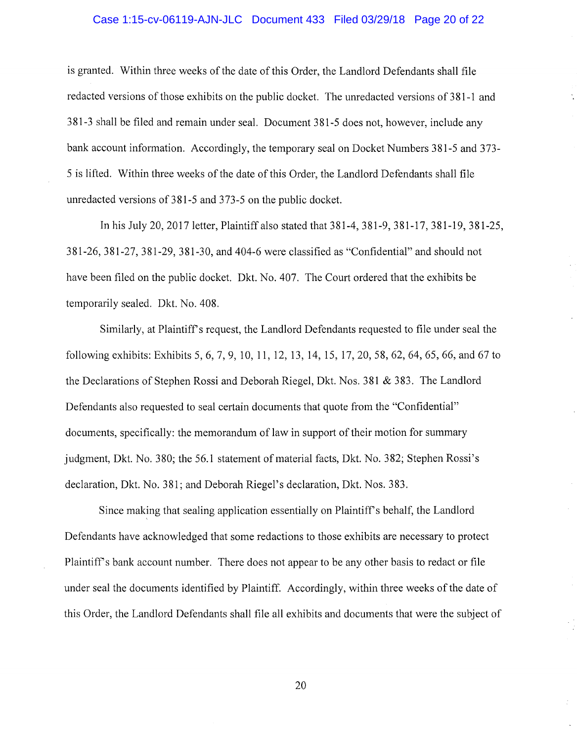#### Case 1:15-cv-06119-AJN-JLC Document 433 Filed 03/29/18 Page 20 of 22

is granted. Within three weeks of the date of this Order, the Landlord Defendants shall file redacted versions of those exhibits on the public docket. The unredacted versions of 381-1 and 381-3 shall be filed and remain under seal. Document 381-5 does not, however, include any bank account information. Accordingly, the temporary seal on Docket Numbers 381-5 and 373- 5 is lifted. Within three weeks of the date of this Order, the Landlord Defendants shall file unredacted versions of 381-5 and 373-5 on the public docket.

In his July 20, 2017 letter, Plaintiff also stated that 381-4, 381-9, 381-17, 381-19, 381-25, 381-26, 381-27, 381-29, 381-30, and 404-6 were classified as "Confidential" and should not have been filed on the public docket. Dkt. No. 407. The Court ordered that the exhibits be temporarily sealed. Dkt. No. 408.

Similarly, at Plaintiff's request, the Landlord Defendants requested to file under seal the following exhibits: Exhibits 5, 6, 7, 9, 10, 11, 12, 13, 14, 15, 17, 20, 58, 62, 64, 65, 66, and 67 to the Declarations of Stephen Rossi and Deborah Riegel, Dkt. Nos. 381 & 383. The Landlord Defendants also requested to seal certain documents that quote from the "Confidential" documents, specifically: the memorandum of law in support of their motion for summary judgment, Dkt. No. 380; the 56.1 statement of material facts, Dkt. No. 382; Stephen Rossi's declaration, Dkt. No. 381; and Deborah Riegel's declaration, Dkt. Nos. 383.

Since making that sealing application essentially on Plaintiff's behalf, the Landlord Defendants have acknowledged that some redactions to those exhibits are necessary to protect Plaintiff's bank account number. There does not appear to be any other basis to redact or file under seal the documents identified by Plaintiff. Accordingly, within three weeks of the date of this Order, the Landlord Defendants shall file all exhibits and documents that were the subject of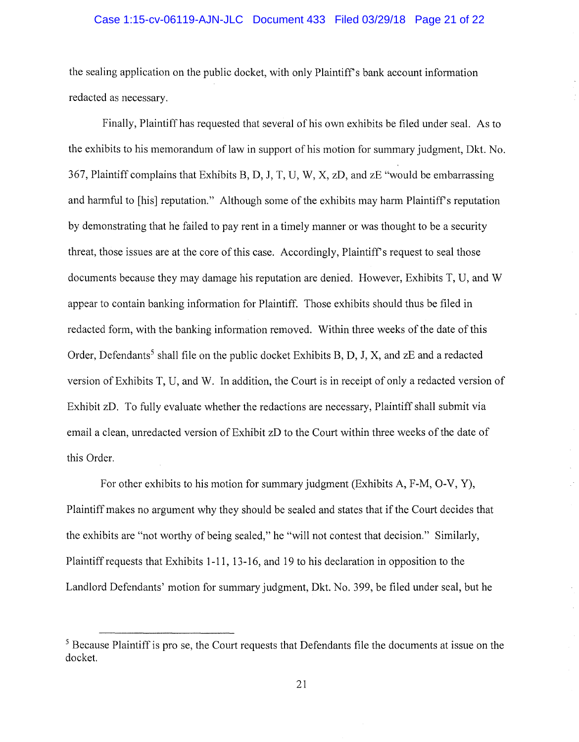### Case 1:15-cv-06119-AJN-JLC Document 433 Filed 03/29/18 Page 21 of 22

the sealing application on the public docket, with only Plaintiff's bank account information redacted as necessary.

Finally, Plaintiff has requested that several of his own exhibits be filed under seal. As to the exhibits to his memorandum of law in support of his motion for summary judgment, Dkt. No. 367, Plaintiff complains that Exhibits B, D, J, T, U, W, X, zD, and zE "would be embarrassing and harmful to [his] reputation." Although some of the exhibits may harm Plaintiff's reputation by demonstrating that he failed to pay rent in a timely manner or was thought to be a security threat, those issues are at the core of this case. Accordingly, Plaintiff's request to seal those documents because they may damage his reputation are denied. However, Exhibits T, U, and W appear to contain banking information for Plaintiff. Those exhibits should thus be filed in redacted form, with the banking information removed. Within three weeks of the date of this Order, Defendants<sup>5</sup> shall file on the public docket Exhibits B, D, J, X, and  $zE$  and a redacted version of Exhibits T, U, and W. In addition, the Court is in receipt of only a redacted version of Exhibit zD. To fully evaluate whether the redactions are necessary, Plaintiff shall submit via email a clean, unredacted version of Exhibit zD to the Court within three weeks of the date of this Order.

For other exhibits to his motion for summary judgment (Exhibits A, F-M, 0-V, Y), Plaintiff makes no argument why they should be sealed and states that if the Court decides that the exhibits are "not worthy of being sealed," he "will not contest that decision." Similarly, Plaintiff requests that Exhibits 1-11, 13-16, and 19 to his declaration in opposition to the Landlord Defendants' motion for summary judgment, Dkt. No. 399, be filed under seal, but he

<sup>&</sup>lt;sup>5</sup> Because Plaintiff is pro se, the Court requests that Defendants file the documents at issue on the docket.